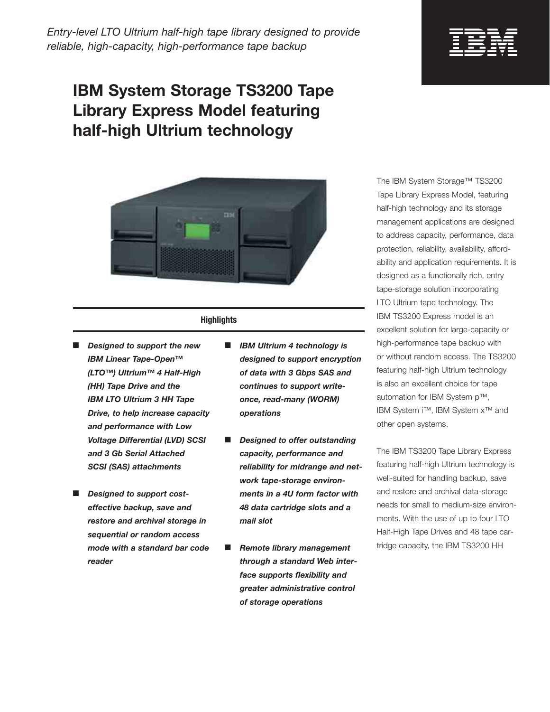*Entry-level LTO Ultrium half-high tape library designed to provide reliable, high-capacity, high-performance tape backup* 

## **IBM System Storage TS3200 Tape Library Express Model featuring half-high Ultrium technology**



## **Highlights**

- **Designed to support the new** *IBM Linear Tape-Open™ (LTO™) Ultrium™ 4 Half-High (HH) Tape Drive and the IBM LTO Ultrium 3 HH Tape Drive, to help increase capacity and performance with Low Voltage Differential (LVD) SCSI and 3 Gb Serial Attached SCSI (SAS) attachments*
- **Designed to support cost***effective backup, save and restore and archival storage in sequential or random access mode with a standard bar code reader*
- *IBM Ultrium 4 technology is designed to support encryption of data with 3 Gbps SAS and continues to support writeonce, read-many (WORM) operations*
- **Designed to offer outstanding** *capacity, performance and reliability for midrange and network tape-storage environments in a 4U form factor with 48 data cartridge slots and a mail slot*
- **Remote library management** *through a standard Web interface supports flexibility and greater administrative control of storage operations*



The IBM System Storage™ TS3200 Tape Library Express Model, featuring half-high technology and its storage management applications are designed to address capacity, performance, data protection, reliability, availability, affordability and application requirements. It is designed as a functionally rich, entry tape-storage solution incorporating LTO Ultrium tape technology. The IBM TS3200 Express model is an excellent solution for large-capacity or high-performance tape backup with or without random access. The TS3200 featuring half-high Ultrium technology is also an excellent choice for tape automation for IBM System p™, IBM System i™, IBM System x™ and other open systems.

The IBM TS3200 Tape Library Express featuring half-high Ultrium technology is well-suited for handling backup, save and restore and archival data-storage needs for small to medium-size environments. With the use of up to four LTO Half-High Tape Drives and 48 tape cartridge capacity, the IBM TS3200 HH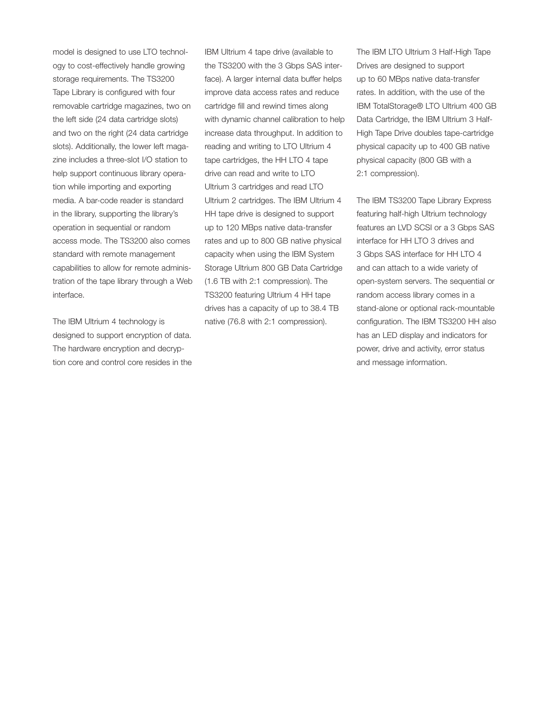model is designed to use LTO technology to cost-effectively handle growing storage requirements. The TS3200 Tape Library is configured with four removable cartridge magazines, two on the left side (24 data cartridge slots) and two on the right (24 data cartridge slots). Additionally, the lower left magazine includes a three-slot I/O station to help support continuous library operation while importing and exporting media. A bar-code reader is standard in the library, supporting the library's operation in sequential or random access mode. The TS3200 also comes standard with remote management capabilities to allow for remote administration of the tape library through a Web interface.

The IBM Ultrium 4 technology is designed to support encryption of data. The hardware encryption and decryption core and control core resides in the

IBM Ultrium 4 tape drive (available to the TS3200 with the 3 Gbps SAS interface). A larger internal data buffer helps improve data access rates and reduce cartridge fill and rewind times along with dynamic channel calibration to help increase data throughput. In addition to reading and writing to LTO Ultrium 4 tape cartridges, the HH LTO 4 tape drive can read and write to LTO Ultrium 3 cartridges and read LTO Ultrium 2 cartridges. The IBM Ultrium 4 HH tape drive is designed to support up to 120 MBps native data-transfer rates and up to 800 GB native physical capacity when using the IBM System Storage Ultrium 800 GB Data Cartridge (1.6 TB with 2:1 compression). The TS3200 featuring Ultrium 4 HH tape drives has a capacity of up to 38.4 TB native (76.8 with 2:1 compression).

The IBM LTO Ultrium 3 Half-High Tape Drives are designed to support up to 60 MBps native data-transfer rates. In addition, with the use of the IBM TotalStorage® LTO Ultrium 400 GB Data Cartridge, the IBM Ultrium 3 Half-High Tape Drive doubles tape-cartridge physical capacity up to 400 GB native physical capacity (800 GB with a 2:1 compression).

The IBM TS3200 Tape Library Express featuring half-high Ultrium technology features an LVD SCSI or a 3 Gbps SAS interface for HH LTO 3 drives and 3 Gbps SAS interface for HH LTO 4 and can attach to a wide variety of open-system servers. The sequential or random access library comes in a stand-alone or optional rack-mountable configuration. The IBM TS3200 HH also has an LED display and indicators for power, drive and activity, error status and message information.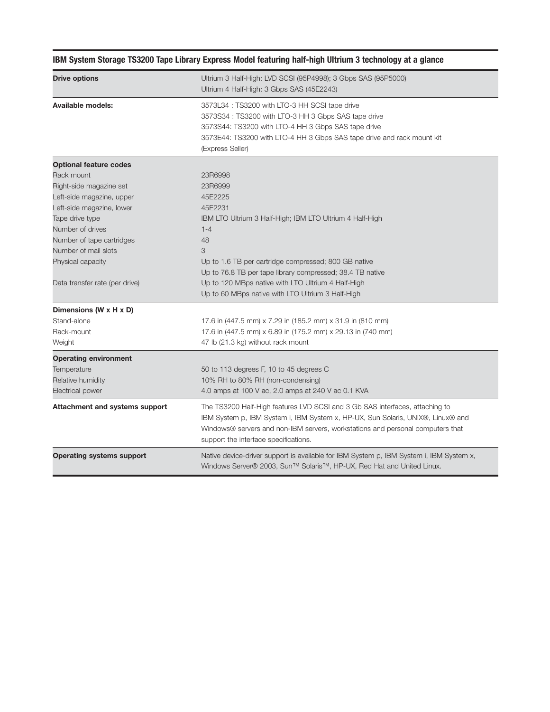| <b>Drive options</b>                                | Ultrium 3 Half-High: LVD SCSI (95P4998); 3 Gbps SAS (95P5000)<br>Ultrium 4 Half-High: 3 Gbps SAS (45E2243)                                                                                                                                                                                 |
|-----------------------------------------------------|--------------------------------------------------------------------------------------------------------------------------------------------------------------------------------------------------------------------------------------------------------------------------------------------|
| Available models:                                   | 3573L34 : TS3200 with LTO-3 HH SCSI tape drive<br>3573S34 : TS3200 with LTO-3 HH 3 Gbps SAS tape drive<br>3573S44: TS3200 with LTO-4 HH 3 Gbps SAS tape drive<br>3573E44: TS3200 with LTO-4 HH 3 Gbps SAS tape drive and rack mount kit<br>(Express Seller)                                |
| <b>Optional feature codes</b>                       |                                                                                                                                                                                                                                                                                            |
| Rack mount                                          | 23R6998                                                                                                                                                                                                                                                                                    |
| Right-side magazine set                             | 23R6999                                                                                                                                                                                                                                                                                    |
| Left-side magazine, upper                           | 45E2225                                                                                                                                                                                                                                                                                    |
| Left-side magazine, lower                           | 45E2231                                                                                                                                                                                                                                                                                    |
| Tape drive type                                     | IBM LTO Ultrium 3 Half-High; IBM LTO Ultrium 4 Half-High                                                                                                                                                                                                                                   |
| Number of drives                                    | $1 - 4$                                                                                                                                                                                                                                                                                    |
| Number of tape cartridges                           | 48                                                                                                                                                                                                                                                                                         |
| Number of mail slots                                | 3                                                                                                                                                                                                                                                                                          |
| Physical capacity<br>Data transfer rate (per drive) | Up to 1.6 TB per cartridge compressed; 800 GB native                                                                                                                                                                                                                                       |
|                                                     | Up to 76.8 TB per tape library compressed; 38.4 TB native                                                                                                                                                                                                                                  |
|                                                     | Up to 120 MBps native with LTO Ultrium 4 Half-High                                                                                                                                                                                                                                         |
|                                                     | Up to 60 MBps native with LTO Ultrium 3 Half-High                                                                                                                                                                                                                                          |
| Dimensions (W x H x D)                              |                                                                                                                                                                                                                                                                                            |
| Stand-alone                                         | 17.6 in (447.5 mm) x 7.29 in (185.2 mm) x 31.9 in (810 mm)                                                                                                                                                                                                                                 |
| Rack-mount                                          | 17.6 in (447.5 mm) x 6.89 in (175.2 mm) x 29.13 in (740 mm)                                                                                                                                                                                                                                |
| Weight                                              | 47 lb (21.3 kg) without rack mount                                                                                                                                                                                                                                                         |
| <b>Operating environment</b>                        |                                                                                                                                                                                                                                                                                            |
| Temperature                                         | 50 to 113 degrees F, 10 to 45 degrees C                                                                                                                                                                                                                                                    |
| Relative humidity                                   | 10% RH to 80% RH (non-condensing)                                                                                                                                                                                                                                                          |
| <b>Electrical power</b>                             | 4.0 amps at 100 V ac, 2.0 amps at 240 V ac 0.1 KVA                                                                                                                                                                                                                                         |
| Attachment and systems support                      | The TS3200 Half-High features LVD SCSI and 3 Gb SAS interfaces, attaching to<br>IBM System p, IBM System i, IBM System x, HP-UX, Sun Solaris, UNIX®, Linux® and<br>Windows® servers and non-IBM servers, workstations and personal computers that<br>support the interface specifications. |
| <b>Operating systems support</b>                    | Native device-driver support is available for IBM System p, IBM System i, IBM System x,<br>Windows Server® 2003, Sun™ Solaris™, HP-UX, Red Hat and United Linux.                                                                                                                           |

## **IBM System Storage TS3200 Tape Library Express Model featuring half-high Ultrium 3 technology at a glance**